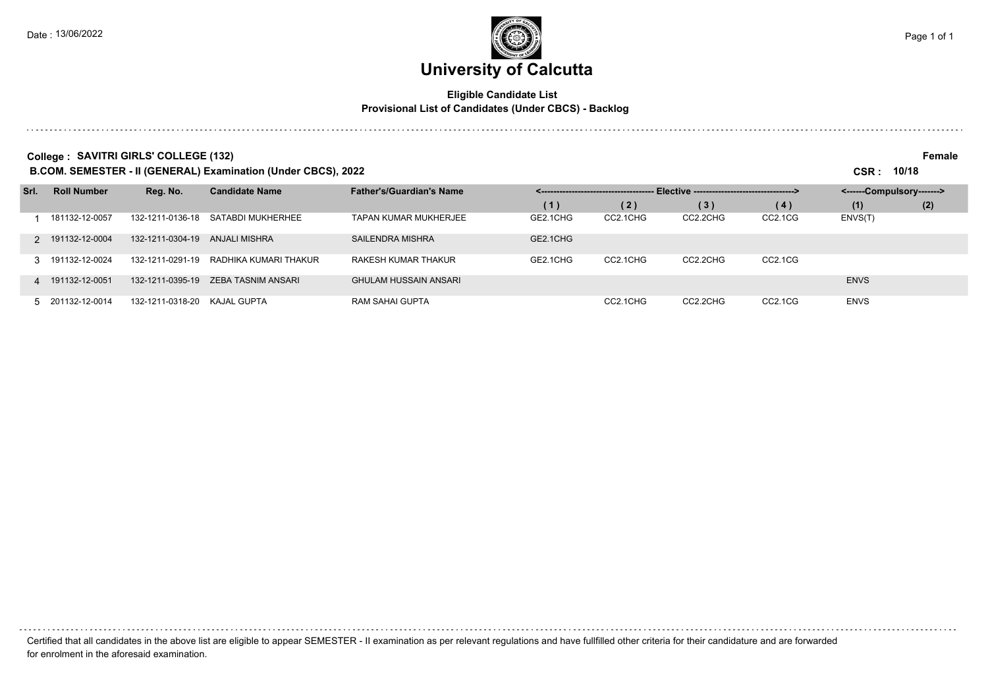and a state of

## **University of Calcutta**

### **Eligible Candidate List Provisional List of Candidates (Under CBCS) - Backlog**

**College : SAVITRI GIRLS' COLLEGE (132) Female**

**B.COM. SEMESTER - II (GENERAL) Examination (Under CBCS), 2022 CSR : 10/18**

| Srl. | <b>Roll Number</b> | Reg. No.         | <b>Candidate Name</b> | <b>Father's/Guardian's Name</b> | Elective -----------------------------------> |          |          |         | <------Compulsory-------> |     |
|------|--------------------|------------------|-----------------------|---------------------------------|-----------------------------------------------|----------|----------|---------|---------------------------|-----|
|      |                    |                  |                       |                                 | (1)                                           | (2)      | (3)      | (4)     | (1)                       | (2) |
|      | 181132-12-0057     | 132-1211-0136-18 | SATABDI MUKHERHEE     | TAPAN KUMAR MUKHERJEE           | GE2.1CHG                                      | CC2.1CHG | CC2.2CHG | CC2.1CG | ENVS(T)                   |     |
|      | 2 191132-12-0004   | 132-1211-0304-19 | ANJALI MISHRA         | SAILENDRA MISHRA                | GE2.1CHG                                      |          |          |         |                           |     |
|      | 3 191132-12-0024   | 132-1211-0291-19 | RADHIKA KUMARI THAKUR | RAKESH KUMAR THAKUR             | GE2.1CHG                                      | CC2.1CHG | CC2.2CHG | CC2.1CG |                           |     |
|      | 4 191132-12-0051   | 132-1211-0395-19 | ZEBA TASNIM ANSARI    | <b>GHULAM HUSSAIN ANSARI</b>    |                                               |          |          |         | <b>ENVS</b>               |     |
|      | 5 201132-12-0014   | 132-1211-0318-20 | KAJAL GUPTA           | RAM SAHAI GUPTA                 |                                               | CC2.1CHG | CC2.2CHG | CC2.1CG | <b>ENVS</b>               |     |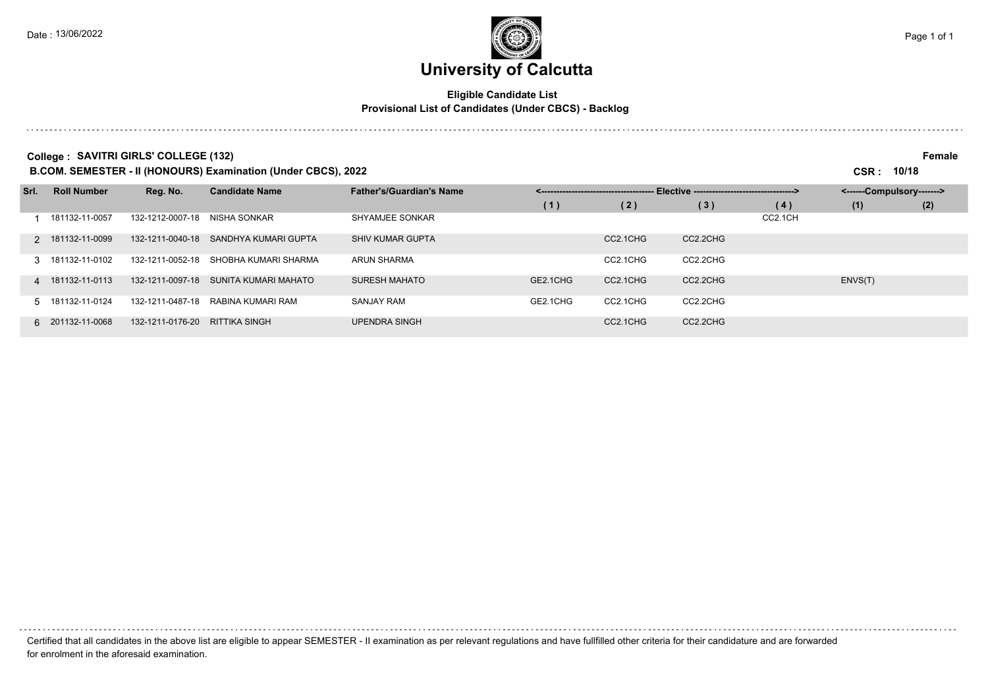## **University of Calcutta**

### **Eligible Candidate List Provisional List of Candidates (Under CBCS) - Backlog**

**College : SAVITRI GIRLS' COLLEGE (132) Female**

**B.COM. SEMESTER - II (HONOURS) Examination (Under CBCS), 2022 CSR : 10/18**

| Srl. | <b>Roll Number</b> | Reg. No.         | <b>Candidate Name</b> | <b>Father's/Guardian's Name</b> | Elective ----------------------------------><br>__________________________________ |          |          | <------Compulsory-------> |         |     |
|------|--------------------|------------------|-----------------------|---------------------------------|------------------------------------------------------------------------------------|----------|----------|---------------------------|---------|-----|
|      |                    |                  |                       |                                 | (1)                                                                                | (2)      | (3)      | (4)                       | (1)     | (2) |
|      | 181132-11-0057     | 132-1212-0007-18 | NISHA SONKAR          | SHYAMJEE SONKAR                 |                                                                                    |          |          | CC2.1CH                   |         |     |
|      | 2 181132-11-0099   | 132-1211-0040-18 | SANDHYA KUMARI GUPTA  | <b>SHIV KUMAR GUPTA</b>         |                                                                                    | CC2.1CHG | CC2.2CHG |                           |         |     |
|      | 3 181132-11-0102   | 132-1211-0052-18 | SHOBHA KUMARI SHARMA  | <b>ARUN SHARMA</b>              |                                                                                    | CC2.1CHG | CC2.2CHG |                           |         |     |
|      | 4 181132-11-0113   | 132-1211-0097-18 | SUNITA KUMARI MAHATO  | <b>SURESH MAHATO</b>            | GE2.1CHG                                                                           | CC2.1CHG | CC2.2CHG |                           | ENVS(T) |     |
|      | 5 181132-11-0124   | 132-1211-0487-18 | RABINA KUMARI RAM     | <b>SANJAY RAM</b>               | GE2.1CHG                                                                           | CC2.1CHG | CC2.2CHG |                           |         |     |
|      | 6 201132-11-0068   | 132-1211-0176-20 | <b>RITTIKA SINGH</b>  | <b>UPENDRA SINGH</b>            |                                                                                    | CC2.1CHG | CC2.2CHG |                           |         |     |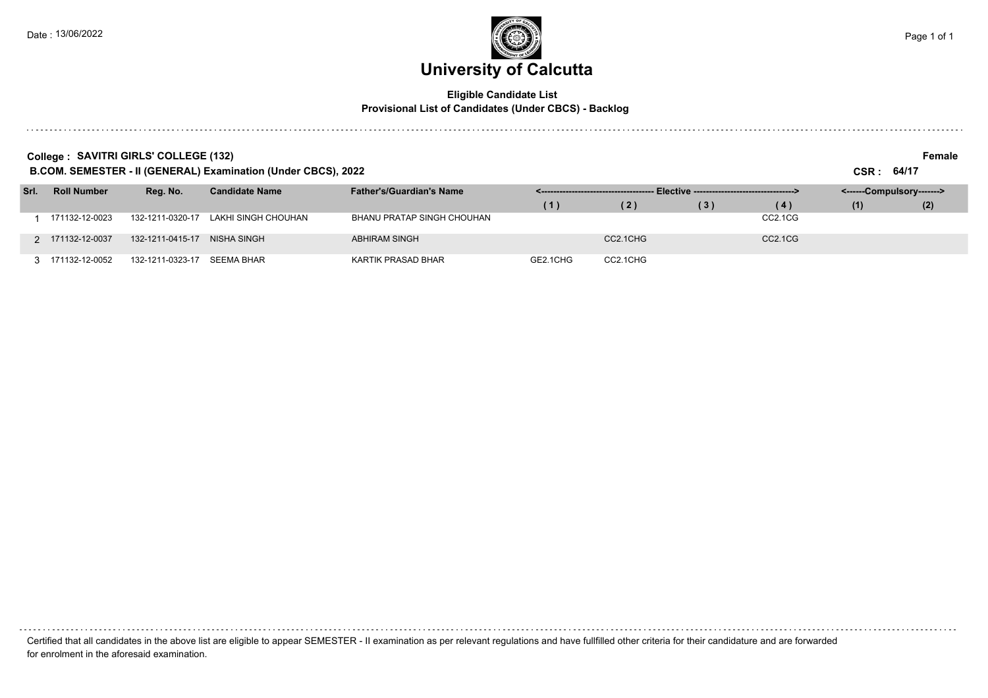### **Eligible Candidate List Provisional List of Candidates (Under CBCS) - Backlog**

. . . . . . . . . Certified that all candidates in the above list are eligible to appear SEMESTER - II examination as per relevant regulations and have fullfilled other criteria for their candidature and are forwarded for enrolment in the aforesaid examination.

### **College : SAVITRI GIRLS' COLLEGE (132) Female**

**B.COM. SEMESTER - II (GENERAL) Examination (Under CBCS), 2022 CSR : 64/17**

| Srl. | <b>Roll Number</b> | Rea. No.         | <b>Candidate Name</b> | <b>Father's/Guardian's Name</b> |          |          |     |                                  | <------Compulsory-------> |     |
|------|--------------------|------------------|-----------------------|---------------------------------|----------|----------|-----|----------------------------------|---------------------------|-----|
|      |                    |                  |                       |                                 | (1)      | (2)      | (3) | (4)                              | (1)                       | (2) |
|      | 171132-12-0023     | 132-1211-0320-17 | LAKHI SINGH CHOUHAN   | BHANU PRATAP SINGH CHOUHAN      |          |          |     | CC2.1CG                          |                           |     |
|      | 2 171132-12-0037   | 132-1211-0415-17 | NISHA SINGH           | ABHIRAM SINGH                   |          | CC2.1CHG |     | CC <sub>2.1</sub> C <sub>G</sub> |                           |     |
|      | 3 171132-12-0052   | 132-1211-0323-17 | SEEMA BHAR            | KARTIK PRASAD BHAR              | GE2.1CHG | CC2.1CHG |     |                                  |                           |     |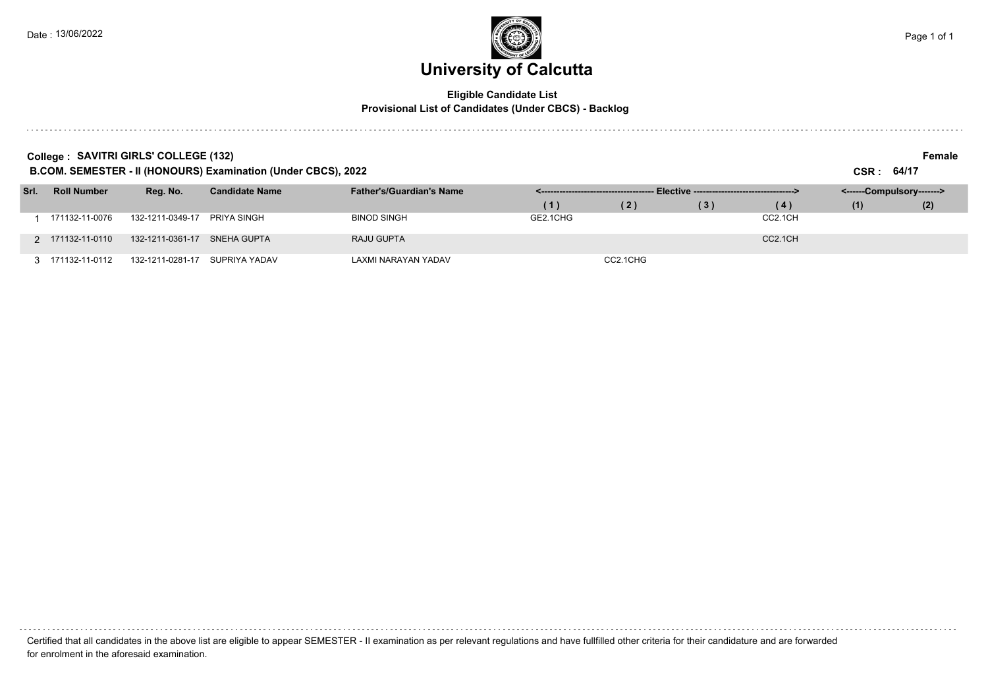### **Eligible Candidate List Provisional List of Candidates (Under CBCS) - Backlog**

. . . . . . . . . Certified that all candidates in the above list are eligible to appear SEMESTER - II examination as per relevant regulations and have fullfilled other criteria for their candidature and are forwarded for enrolment in the aforesaid examination.

**College : SAVITRI GIRLS' COLLEGE (132) Female**

**B.COM. SEMESTER - II (HONOURS) Examination (Under CBCS), 2022 CSR : 64/17**

| <b>D.OOM. OEMEOTER - II (HOROORO) EXAMINATOR (ORIGI ODOO), ZOZZ</b> |                    |                                |                       |                                 |          |          | יוידי ויריט                                    |         |                           |     |
|---------------------------------------------------------------------|--------------------|--------------------------------|-----------------------|---------------------------------|----------|----------|------------------------------------------------|---------|---------------------------|-----|
| Srl.                                                                | <b>Roll Number</b> | Reg. No.                       | <b>Candidate Name</b> | <b>Father's/Guardian's Name</b> |          |          | - Elective ----------------------------------> |         | <------Compulsory-------> |     |
|                                                                     |                    |                                |                       |                                 |          | (2)      | (3)                                            | (4)     | (1)                       | (2) |
|                                                                     | 171132-11-0076     | 132-1211-0349-17               | PRIYA SINGH           | <b>BINOD SINGH</b>              | GE2.1CHG |          |                                                | CC2.1CH |                           |     |
|                                                                     | 2 171132-11-0110   | 132-1211-0361-17 SNEHA GUPTA   |                       | RAJU GUPTA                      |          |          |                                                | CC2.1CH |                           |     |
|                                                                     | 3 171132-11-0112   | 132-1211-0281-17 SUPRIYA YADAV |                       | LAXMI NARAYAN YADAV             |          | CC2.1CHG |                                                |         |                           |     |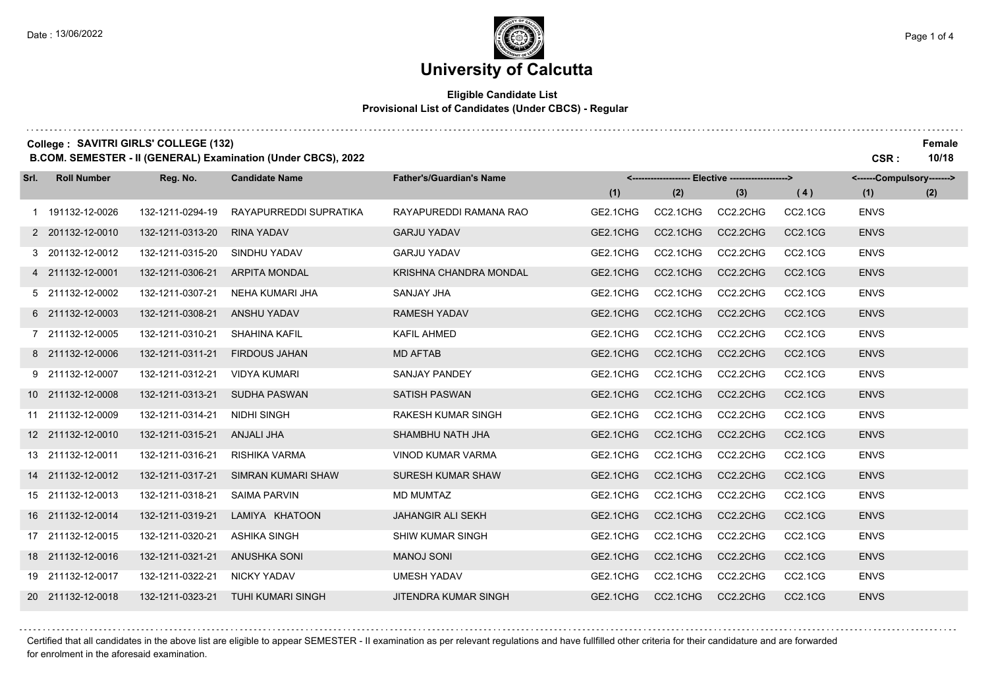### **Eligible Candidate List Provisional List of Candidates (Under CBCS) - Regular**

|      |                    | College: SAVITRI GIRLS' COLLEGE (132) | B.COM. SEMESTER - II (GENERAL) Examination (Under CBCS), 2022 |                                 |          |          |                                                   |                                  | CSR:                      | Female<br>10/18 |
|------|--------------------|---------------------------------------|---------------------------------------------------------------|---------------------------------|----------|----------|---------------------------------------------------|----------------------------------|---------------------------|-----------------|
| Srl. | <b>Roll Number</b> | Reg. No.                              | <b>Candidate Name</b>                                         | <b>Father's/Guardian's Name</b> |          |          | <------------------- Elective ------------------> |                                  | <------Compulsory-------> |                 |
|      |                    |                                       |                                                               |                                 | (1)      | (2)      | (3)                                               | (4)                              | (1)                       | (2)             |
|      | 1 191132-12-0026   | 132-1211-0294-19                      | RAYAPURREDDI SUPRATIKA                                        | RAYAPUREDDI RAMANA RAO          | GE2.1CHG | CC2.1CHG | CC2.2CHG                                          | CC2.1CG                          | <b>ENVS</b>               |                 |
|      | 2 201132-12-0010   | 132-1211-0313-20                      | <b>RINA YADAV</b>                                             | <b>GARJU YADAV</b>              | GE2.1CHG | CC2.1CHG | CC2.2CHG                                          | CC2.1CG                          | <b>ENVS</b>               |                 |
|      | 3 201132-12-0012   | 132-1211-0315-20                      | SINDHU YADAV                                                  | <b>GARJU YADAV</b>              | GE2.1CHG | CC2.1CHG | CC2.2CHG                                          | CC2.1CG                          | <b>ENVS</b>               |                 |
|      | 4 211132-12-0001   | 132-1211-0306-21                      | <b>ARPITA MONDAL</b>                                          | KRISHNA CHANDRA MONDAL          | GE2.1CHG | CC2.1CHG | CC2.2CHG                                          | <b>CC2.1CG</b>                   | <b>ENVS</b>               |                 |
|      | 5 211132-12-0002   | 132-1211-0307-21                      | NEHA KUMARI JHA                                               | <b>SANJAY JHA</b>               | GE2.1CHG | CC2.1CHG | CC2.2CHG                                          | CC2.1CG                          | <b>ENVS</b>               |                 |
|      | 6 211132-12-0003   | 132-1211-0308-21                      | <b>ANSHU YADAV</b>                                            | <b>RAMESH YADAV</b>             | GE2.1CHG | CC2.1CHG | CC2.2CHG                                          | <b>CC2.1CG</b>                   | <b>ENVS</b>               |                 |
|      | 7 211132-12-0005   | 132-1211-0310-21                      | <b>SHAHINA KAFIL</b>                                          | <b>KAFIL AHMED</b>              | GE2.1CHG | CC2.1CHG | CC2.2CHG                                          | CC2.1CG                          | <b>ENVS</b>               |                 |
|      | 8 211132-12-0006   | 132-1211-0311-21                      | <b>FIRDOUS JAHAN</b>                                          | <b>MD AFTAB</b>                 | GE2.1CHG | CC2.1CHG | CC2.2CHG                                          | CC2.1CG                          | <b>ENVS</b>               |                 |
|      | 9 211132-12-0007   | 132-1211-0312-21                      | <b>VIDYA KUMARI</b>                                           | <b>SANJAY PANDEY</b>            | GE2.1CHG | CC2.1CHG | CC2.2CHG                                          | CC2.1CG                          | <b>ENVS</b>               |                 |
|      | 10 211132-12-0008  | 132-1211-0313-21                      | <b>SUDHA PASWAN</b>                                           | <b>SATISH PASWAN</b>            | GE2.1CHG | CC2.1CHG | CC2.2CHG                                          | CC <sub>2.1</sub> C <sub>G</sub> | <b>ENVS</b>               |                 |
|      | 11 211132-12-0009  | 132-1211-0314-21                      | <b>NIDHI SINGH</b>                                            | <b>RAKESH KUMAR SINGH</b>       | GE2.1CHG | CC2.1CHG | CC2.2CHG                                          | CC2.1CG                          | <b>ENVS</b>               |                 |
|      | 12 211132-12-0010  | 132-1211-0315-21                      | ANJALI JHA                                                    | SHAMBHU NATH JHA                | GE2.1CHG | CC2.1CHG | CC2.2CHG                                          | <b>CC2.1CG</b>                   | <b>ENVS</b>               |                 |
|      | 13 211132-12-0011  | 132-1211-0316-21                      | RISHIKA VARMA                                                 | <b>VINOD KUMAR VARMA</b>        | GE2.1CHG | CC2.1CHG | CC2.2CHG                                          | CC2.1CG                          | <b>ENVS</b>               |                 |
|      | 14 211132-12-0012  | 132-1211-0317-21                      | <b>SIMRAN KUMARI SHAW</b>                                     | <b>SURESH KUMAR SHAW</b>        | GE2.1CHG | CC2.1CHG | CC2.2CHG                                          | <b>CC2.1CG</b>                   | <b>ENVS</b>               |                 |
|      | 15 211132-12-0013  | 132-1211-0318-21                      | <b>SAIMA PARVIN</b>                                           | <b>MD MUMTAZ</b>                | GE2.1CHG | CC2.1CHG | CC2.2CHG                                          | CC2.1CG                          | <b>ENVS</b>               |                 |
|      | 16 211132-12-0014  | 132-1211-0319-21                      | LAMIYA KHATOON                                                | <b>JAHANGIR ALI SEKH</b>        | GE2.1CHG | CC2.1CHG | CC2.2CHG                                          | <b>CC2.1CG</b>                   | <b>ENVS</b>               |                 |
|      | 17 211132-12-0015  | 132-1211-0320-21                      | <b>ASHIKA SINGH</b>                                           | <b>SHIW KUMAR SINGH</b>         | GE2.1CHG | CC2.1CHG | CC2.2CHG                                          | CC2.1CG                          | <b>ENVS</b>               |                 |
|      | 18 211132-12-0016  | 132-1211-0321-21                      | <b>ANUSHKA SONI</b>                                           | <b>MANOJ SONI</b>               | GE2.1CHG | CC2.1CHG | CC2.2CHG                                          | <b>CC2.1CG</b>                   | <b>ENVS</b>               |                 |
|      | 19 211132-12-0017  | 132-1211-0322-21                      | <b>NICKY YADAV</b>                                            | <b>UMESH YADAV</b>              | GE2.1CHG | CC2.1CHG | CC2.2CHG                                          | CC2.1CG                          | <b>ENVS</b>               |                 |
|      | 20 211132-12-0018  | 132-1211-0323-21                      | <b>TUHI KUMARI SINGH</b>                                      | <b>JITENDRA KUMAR SINGH</b>     | GE2.1CHG | CC2.1CHG | CC2.2CHG                                          | <b>CC2.1CG</b>                   | <b>ENVS</b>               |                 |

Certified that all candidates in the above list are eligible to appear SEMESTER - II examination as per relevant regulations and have fullfilled other criteria for their candidature and are forwarded for enrolment in the aforesaid examination.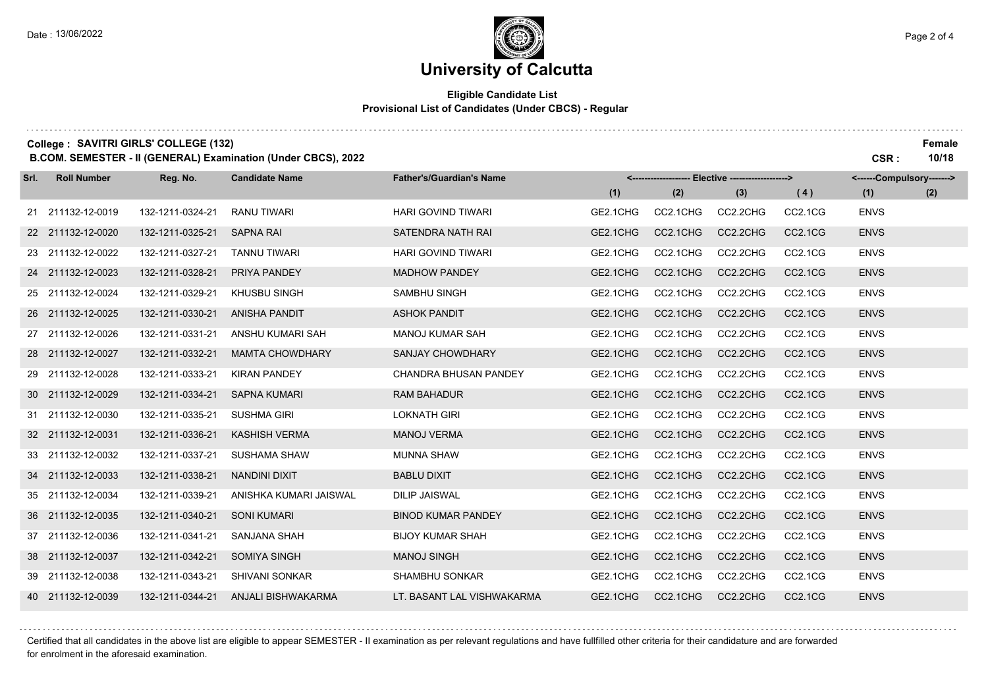## **University of Calcutta**

### **Eligible Candidate List Provisional List of Candidates (Under CBCS) - Regular**

|      |                    | College: SAVITRI GIRLS' COLLEGE (132) | B.COM. SEMESTER - II (GENERAL) Examination (Under CBCS), 2022 |                                 |          |          |          |                                  | CSR:                      | Female<br>10/18 |
|------|--------------------|---------------------------------------|---------------------------------------------------------------|---------------------------------|----------|----------|----------|----------------------------------|---------------------------|-----------------|
| Srl. | <b>Roll Number</b> | Reg. No.                              | <b>Candidate Name</b>                                         | <b>Father's/Guardian's Name</b> |          |          |          |                                  | <------Compulsory-------> |                 |
|      |                    |                                       |                                                               |                                 | (1)      | (2)      | (3)      | (4)                              | (1)                       | (2)             |
|      | 21 211132-12-0019  | 132-1211-0324-21                      | <b>RANU TIWARI</b>                                            | <b>HARI GOVIND TIWARI</b>       | GE2.1CHG | CC2.1CHG | CC2.2CHG | CC2.1CG                          | <b>ENVS</b>               |                 |
|      | 22 211132-12-0020  | 132-1211-0325-21                      | <b>SAPNA RAI</b>                                              | SATENDRA NATH RAI               | GE2.1CHG | CC2.1CHG | CC2.2CHG | CC2.1CG                          | <b>ENVS</b>               |                 |
|      | 23 211132-12-0022  | 132-1211-0327-21                      | <b>TANNU TIWARI</b>                                           | <b>HARI GOVIND TIWARI</b>       | GE2.1CHG | CC2.1CHG | CC2.2CHG | CC <sub>2.1</sub> C <sub>G</sub> | <b>ENVS</b>               |                 |
|      | 24 211132-12-0023  | 132-1211-0328-21                      | PRIYA PANDEY                                                  | <b>MADHOW PANDEY</b>            | GE2.1CHG | CC2.1CHG | CC2.2CHG | <b>CC2.1CG</b>                   | <b>ENVS</b>               |                 |
|      | 25 211132-12-0024  | 132-1211-0329-21                      | KHUSBU SINGH                                                  | SAMBHU SINGH                    | GE2.1CHG | CC2.1CHG | CC2.2CHG | CC2.1CG                          | <b>ENVS</b>               |                 |
|      | 26 211132-12-0025  | 132-1211-0330-21                      | <b>ANISHA PANDIT</b>                                          | <b>ASHOK PANDIT</b>             | GE2.1CHG | CC2.1CHG | CC2.2CHG | <b>CC2.1CG</b>                   | <b>ENVS</b>               |                 |
|      | 27 211132-12-0026  | 132-1211-0331-21                      | ANSHU KUMARI SAH                                              | <b>MANOJ KUMAR SAH</b>          | GE2.1CHG | CC2.1CHG | CC2.2CHG | CC2.1CG                          | <b>ENVS</b>               |                 |
|      | 28 211132-12-0027  | 132-1211-0332-21                      | <b>MAMTA CHOWDHARY</b>                                        | SANJAY CHOWDHARY                | GE2.1CHG | CC2.1CHG | CC2.2CHG | CC2.1CG                          | <b>ENVS</b>               |                 |
|      | 29 211132-12-0028  | 132-1211-0333-21                      | <b>KIRAN PANDEY</b>                                           | <b>CHANDRA BHUSAN PANDEY</b>    | GE2.1CHG | CC2.1CHG | CC2.2CHG | CC2.1CG                          | <b>ENVS</b>               |                 |
|      | 30 211132-12-0029  | 132-1211-0334-21                      | <b>SAPNA KUMARI</b>                                           | <b>RAM BAHADUR</b>              | GE2.1CHG | CC2.1CHG | CC2.2CHG | <b>CC2.1CG</b>                   | <b>ENVS</b>               |                 |
|      | 31 211132-12-0030  | 132-1211-0335-21                      | <b>SUSHMA GIRI</b>                                            | <b>LOKNATH GIRI</b>             | GE2.1CHG | CC2.1CHG | CC2.2CHG | CC2.1CG                          | <b>ENVS</b>               |                 |
|      | 32 211132-12-0031  | 132-1211-0336-21                      | <b>KASHISH VERMA</b>                                          | <b>MANOJ VERMA</b>              | GE2.1CHG | CC2.1CHG | CC2.2CHG | CC2.1CG                          | <b>ENVS</b>               |                 |
|      | 33 211132-12-0032  | 132-1211-0337-21                      | <b>SUSHAMA SHAW</b>                                           | <b>MUNNA SHAW</b>               | GE2.1CHG | CC2.1CHG | CC2.2CHG | CC2.1CG                          | <b>ENVS</b>               |                 |
|      | 34 211132-12-0033  | 132-1211-0338-21                      | <b>NANDINI DIXIT</b>                                          | <b>BABLU DIXIT</b>              | GE2.1CHG | CC2.1CHG | CC2.2CHG | <b>CC2.1CG</b>                   | <b>ENVS</b>               |                 |
|      | 35 211132-12-0034  | 132-1211-0339-21                      | ANISHKA KUMARI JAISWAL                                        | <b>DILIP JAISWAL</b>            | GE2.1CHG | CC2.1CHG | CC2.2CHG | CC2.1CG                          | <b>ENVS</b>               |                 |
|      | 36 211132-12-0035  | 132-1211-0340-21                      | <b>SONI KUMARI</b>                                            | <b>BINOD KUMAR PANDEY</b>       | GE2.1CHG | CC2.1CHG | CC2.2CHG | <b>CC2.1CG</b>                   | <b>ENVS</b>               |                 |
|      | 37 211132-12-0036  | 132-1211-0341-21                      | <b>SANJANA SHAH</b>                                           | <b>BIJOY KUMAR SHAH</b>         | GE2.1CHG | CC2.1CHG | CC2.2CHG | CC2.1CG                          | <b>ENVS</b>               |                 |
|      | 38 211132-12-0037  | 132-1211-0342-21                      | <b>SOMIYA SINGH</b>                                           | <b>MANOJ SINGH</b>              | GE2.1CHG | CC2.1CHG | CC2.2CHG | CC2.1CG                          | <b>ENVS</b>               |                 |
|      | 39 211132-12-0038  | 132-1211-0343-21                      | <b>SHIVANI SONKAR</b>                                         | <b>SHAMBHU SONKAR</b>           | GE2.1CHG | CC2.1CHG | CC2.2CHG | CC2.1CG                          | <b>ENVS</b>               |                 |
|      | 40 211132-12-0039  | 132-1211-0344-21                      | ANJALI BISHWAKARMA                                            | LT. BASANT LAL VISHWAKARMA      | GE2.1CHG | CC2.1CHG | CC2.2CHG | <b>CC2.1CG</b>                   | <b>ENVS</b>               |                 |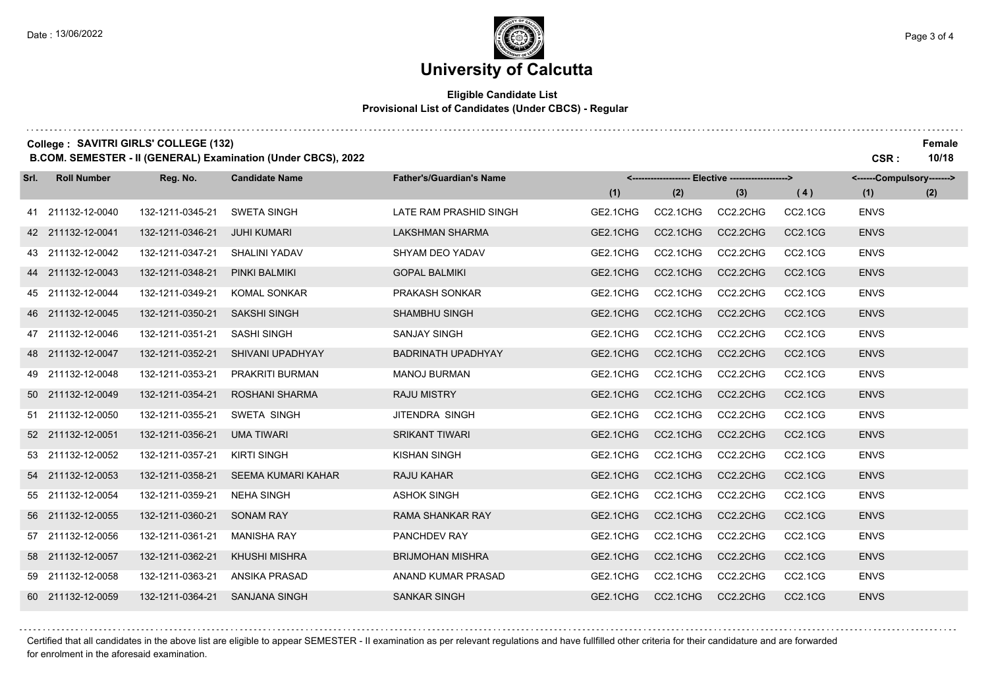## **University of Calcutta**

### **Eligible Candidate List Provisional List of Candidates (Under CBCS) - Regular**

|      | College: SAVITRI GIRLS' COLLEGE (132) |                  | B.COM. SEMESTER - II (GENERAL) Examination (Under CBCS), 2022 |                                 |          |          |                                                   |                                  | CSR:                      | Female<br>10/18 |
|------|---------------------------------------|------------------|---------------------------------------------------------------|---------------------------------|----------|----------|---------------------------------------------------|----------------------------------|---------------------------|-----------------|
| Srl. | <b>Roll Number</b>                    | Reg. No.         | <b>Candidate Name</b>                                         | <b>Father's/Guardian's Name</b> |          |          | <------------------- Elective ------------------> |                                  | <------Compulsory-------> |                 |
|      |                                       |                  |                                                               |                                 | (1)      | (2)      | (3)                                               | (4)                              | (1)                       | (2)             |
|      | 41 211132-12-0040                     | 132-1211-0345-21 | <b>SWETA SINGH</b>                                            | LATE RAM PRASHID SINGH          | GE2.1CHG | CC2.1CHG | CC2.2CHG                                          | CC <sub>2.1</sub> C <sub>G</sub> | <b>ENVS</b>               |                 |
|      | 42 211132-12-0041                     | 132-1211-0346-21 | <b>JUHI KUMARI</b>                                            | <b>LAKSHMAN SHARMA</b>          | GE2.1CHG | CC2.1CHG | CC2.2CHG                                          | CC2.1CG                          | <b>ENVS</b>               |                 |
|      | 43 211132-12-0042                     | 132-1211-0347-21 | <b>SHALINI YADAV</b>                                          | SHYAM DEO YADAV                 | GE2.1CHG | CC2.1CHG | CC2.2CHG                                          | CC2.1CG                          | <b>ENVS</b>               |                 |
|      | 44 211132-12-0043                     | 132-1211-0348-21 | PINKI BALMIKI                                                 | <b>GOPAL BALMIKI</b>            | GE2.1CHG | CC2.1CHG | CC2.2CHG                                          | <b>CC2.1CG</b>                   | <b>ENVS</b>               |                 |
|      | 45 211132-12-0044                     | 132-1211-0349-21 | <b>KOMAL SONKAR</b>                                           | PRAKASH SONKAR                  | GE2.1CHG | CC2.1CHG | CC2.2CHG                                          | CC2.1CG                          | <b>ENVS</b>               |                 |
|      | 46 211132-12-0045                     | 132-1211-0350-21 | <b>SAKSHI SINGH</b>                                           | <b>SHAMBHU SINGH</b>            | GE2.1CHG | CC2.1CHG | CC2.2CHG                                          | <b>CC2.1CG</b>                   | <b>ENVS</b>               |                 |
|      | 47 211132-12-0046                     | 132-1211-0351-21 | <b>SASHI SINGH</b>                                            | <b>SANJAY SINGH</b>             | GE2.1CHG | CC2.1CHG | CC2.2CHG                                          | CC2.1CG                          | <b>ENVS</b>               |                 |
|      | 48 211132-12-0047                     | 132-1211-0352-21 | SHIVANI UPADHYAY                                              | <b>BADRINATH UPADHYAY</b>       | GE2.1CHG | CC2.1CHG | CC2.2CHG                                          | <b>CC2.1CG</b>                   | <b>ENVS</b>               |                 |
|      | 49 211132-12-0048                     | 132-1211-0353-21 | PRAKRITI BURMAN                                               | <b>MANOJ BURMAN</b>             | GE2.1CHG | CC2.1CHG | CC2.2CHG                                          | CC2.1CG                          | <b>ENVS</b>               |                 |
|      | 50 211132-12-0049                     | 132-1211-0354-21 | <b>ROSHANI SHARMA</b>                                         | <b>RAJU MISTRY</b>              | GE2.1CHG | CC2.1CHG | CC2.2CHG                                          | <b>CC2.1CG</b>                   | <b>ENVS</b>               |                 |
|      | 51 211132-12-0050                     | 132-1211-0355-21 | <b>SWETA SINGH</b>                                            | JITENDRA SINGH                  | GE2.1CHG | CC2.1CHG | CC2.2CHG                                          | CC2.1CG                          | <b>ENVS</b>               |                 |
|      | 52 211132-12-0051                     | 132-1211-0356-21 | <b>UMA TIWARI</b>                                             | <b>SRIKANT TIWARI</b>           | GE2.1CHG | CC2.1CHG | CC2.2CHG                                          | CC2.1CG                          | <b>ENVS</b>               |                 |
|      | 53 211132-12-0052                     | 132-1211-0357-21 | <b>KIRTI SINGH</b>                                            | <b>KISHAN SINGH</b>             | GE2.1CHG | CC2.1CHG | CC2.2CHG                                          | CC2.1CG                          | <b>ENVS</b>               |                 |
|      | 54 211132-12-0053                     | 132-1211-0358-21 | <b>SEEMA KUMARI KAHAR</b>                                     | <b>RAJU KAHAR</b>               | GE2.1CHG | CC2.1CHG | CC2.2CHG                                          | <b>CC2.1CG</b>                   | <b>ENVS</b>               |                 |
|      | 55 211132-12-0054                     | 132-1211-0359-21 | <b>NEHA SINGH</b>                                             | <b>ASHOK SINGH</b>              | GE2.1CHG | CC2.1CHG | CC2.2CHG                                          | CC2.1CG                          | <b>ENVS</b>               |                 |
|      | 56 211132-12-0055                     | 132-1211-0360-21 | <b>SONAM RAY</b>                                              | <b>RAMA SHANKAR RAY</b>         | GE2.1CHG | CC2.1CHG | CC2.2CHG                                          | CC2.1CG                          | <b>ENVS</b>               |                 |
|      | 57 211132-12-0056                     | 132-1211-0361-21 | <b>MANISHA RAY</b>                                            | PANCHDEV RAY                    | GE2.1CHG | CC2.1CHG | CC2.2CHG                                          | CC2.1CG                          | <b>ENVS</b>               |                 |
|      | 58 211132-12-0057                     | 132-1211-0362-21 | <b>KHUSHI MISHRA</b>                                          | <b>BRIJMOHAN MISHRA</b>         | GE2.1CHG | CC2.1CHG | CC2.2CHG                                          | <b>CC2.1CG</b>                   | <b>ENVS</b>               |                 |
|      | 59 211132-12-0058                     | 132-1211-0363-21 | <b>ANSIKA PRASAD</b>                                          | ANAND KUMAR PRASAD              | GE2.1CHG | CC2.1CHG | CC2.2CHG                                          | CC2.1CG                          | <b>ENVS</b>               |                 |
|      | 60 211132-12-0059                     | 132-1211-0364-21 | <b>SANJANA SINGH</b>                                          | <b>SANKAR SINGH</b>             | GE2.1CHG | CC2.1CHG | CC2.2CHG                                          | CC2.1CG                          | <b>ENVS</b>               |                 |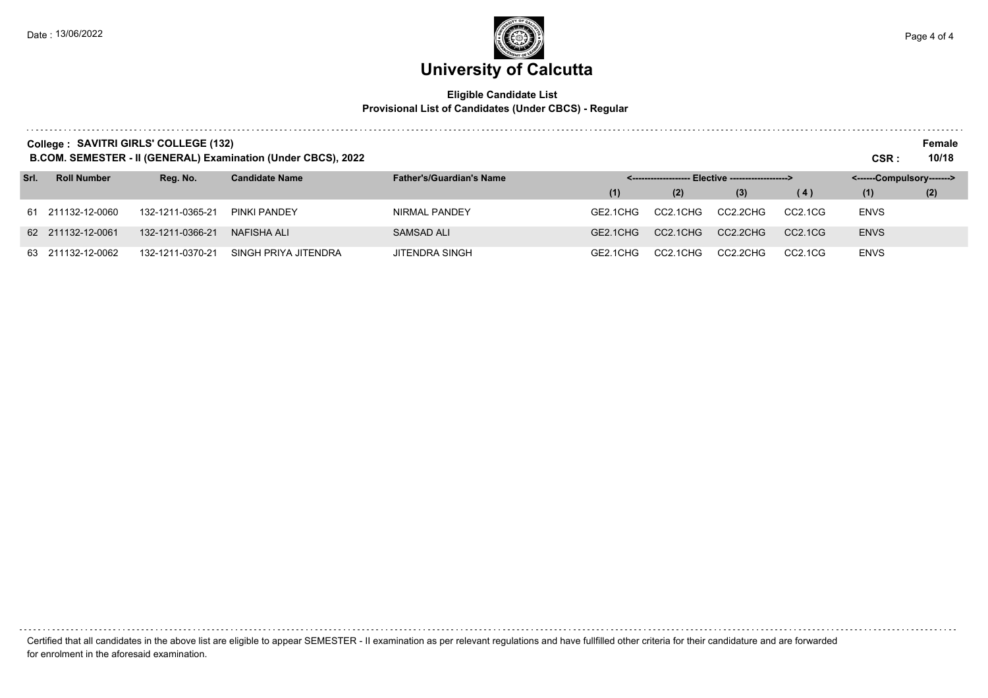### **University of Calcutta**  Date : 13/06/2022 Page 4 of 4

### **Eligible Candidate List Provisional List of Candidates (Under CBCS) - Regular**

|      | College: SAVITRI GIRLS' COLLEGE (132)<br>B.COM. SEMESTER - II (GENERAL) Examination (Under CBCS), 2022 |                  |                       |                                 |          |          |                                                     |                                  | CSR:                      | Female<br>10/18 |
|------|--------------------------------------------------------------------------------------------------------|------------------|-----------------------|---------------------------------|----------|----------|-----------------------------------------------------|----------------------------------|---------------------------|-----------------|
| Srl. | <b>Roll Number</b>                                                                                     | Reg. No.         | <b>Candidate Name</b> | <b>Father's/Guardian's Name</b> |          |          | <-------------------- Elective -------------------> |                                  | <------Compulsory-------> |                 |
|      |                                                                                                        |                  |                       |                                 | (1)      | (2)      | (3)                                                 | (4)                              | (1)                       | (2)             |
|      | 61 211132-12-0060                                                                                      | 132-1211-0365-21 | PINKI PANDEY          | NIRMAL PANDEY                   | GE2.1CHG | CC2.1CHG | CC2.2CHG                                            | CC2.1CG                          | <b>ENVS</b>               |                 |
|      | 62 211132-12-0061                                                                                      | 132-1211-0366-21 | <b>NAFISHA ALI</b>    | <b>SAMSAD ALI</b>               | GE2.1CHG | CC2.1CHG | CC2.2CHG                                            | CC <sub>2.1</sub> C <sub>G</sub> | <b>ENVS</b>               |                 |
|      | 63 211132-12-0062                                                                                      | 132-1211-0370-21 | SINGH PRIYA JITENDRA  | JITENDRA SINGH                  | GE2.1CHG | CC2.1CHG | CC2.2CHG                                            | CC2.1CG                          | <b>ENVS</b>               |                 |

Certified that all candidates in the above list are eligible to appear SEMESTER - II examination as per relevant regulations and have fullfilled other criteria for their candidature and are forwarded for enrolment in the aforesaid examination.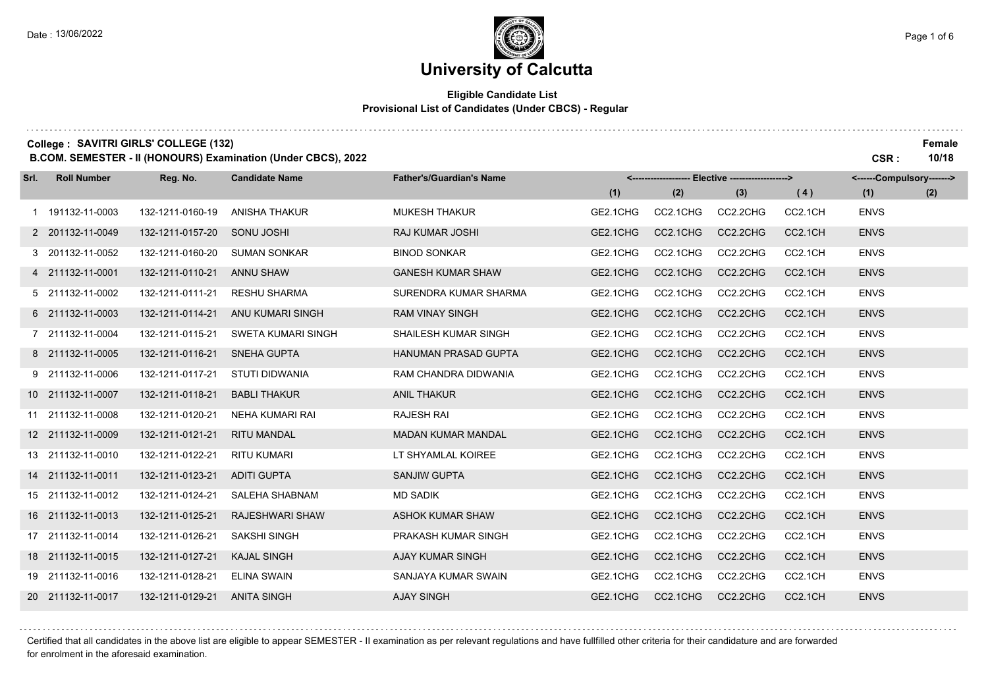## **University of Calcutta**

### **Eligible Candidate List Provisional List of Candidates (Under CBCS) - Regular**

|      |                    | College: SAVITRI GIRLS' COLLEGE (132) | B.COM. SEMESTER - II (HONOURS) Examination (Under CBCS), 2022 |                                 |          |                        |                                 |         | CSR:                      | Female<br>10/18 |
|------|--------------------|---------------------------------------|---------------------------------------------------------------|---------------------------------|----------|------------------------|---------------------------------|---------|---------------------------|-----------------|
| Srl. | <b>Roll Number</b> | Reg. No.                              | <b>Candidate Name</b>                                         | <b>Father's/Guardian's Name</b> |          | <--------------------- | - Elective -------------------> |         | <------Compulsory-------> |                 |
|      |                    |                                       |                                                               |                                 | (1)      | (2)                    | (3)                             | (4)     | (1)                       | (2)             |
|      | 1 191132-11-0003   | 132-1211-0160-19                      | <b>ANISHA THAKUR</b>                                          | <b>MUKESH THAKUR</b>            | GE2.1CHG | CC2.1CHG               | CC2.2CHG                        | CC2.1CH | <b>ENVS</b>               |                 |
|      | 2 201132-11-0049   | 132-1211-0157-20                      | SONU JOSHI                                                    | <b>RAJ KUMAR JOSHI</b>          | GE2.1CHG | CC2.1CHG               | CC2.2CHG                        | CC2.1CH | <b>ENVS</b>               |                 |
|      | 3 201132-11-0052   | 132-1211-0160-20                      | <b>SUMAN SONKAR</b>                                           | <b>BINOD SONKAR</b>             | GE2.1CHG | CC2.1CHG               | CC2.2CHG                        | CC2.1CH | <b>ENVS</b>               |                 |
|      | 4 211132-11-0001   | 132-1211-0110-21                      | <b>ANNU SHAW</b>                                              | <b>GANESH KUMAR SHAW</b>        | GE2.1CHG | CC2.1CHG               | CC2.2CHG                        | CC2.1CH | <b>ENVS</b>               |                 |
|      | 5 211132-11-0002   | 132-1211-0111-21                      | <b>RESHU SHARMA</b>                                           | SURENDRA KUMAR SHARMA           | GE2.1CHG | CC2.1CHG               | CC2.2CHG                        | CC2.1CH | <b>ENVS</b>               |                 |
|      | 6 211132-11-0003   | 132-1211-0114-21                      | ANU KUMARI SINGH                                              | <b>RAM VINAY SINGH</b>          | GE2.1CHG | CC2.1CHG               | CC2.2CHG                        | CC2.1CH | <b>ENVS</b>               |                 |
|      | 7 211132-11-0004   | 132-1211-0115-21                      | SWETA KUMARI SINGH                                            | SHAILESH KUMAR SINGH            | GE2.1CHG | CC2.1CHG               | CC2.2CHG                        | CC2.1CH | <b>ENVS</b>               |                 |
|      | 8 211132-11-0005   | 132-1211-0116-21                      | <b>SNEHA GUPTA</b>                                            | <b>HANUMAN PRASAD GUPTA</b>     | GE2.1CHG | CC2.1CHG               | CC2.2CHG                        | CC2.1CH | <b>ENVS</b>               |                 |
|      | 9 211132-11-0006   | 132-1211-0117-21                      | STUTI DIDWANIA                                                | RAM CHANDRA DIDWANIA            | GE2.1CHG | CC2.1CHG               | CC2.2CHG                        | CC2.1CH | <b>ENVS</b>               |                 |
|      | 10 211132-11-0007  | 132-1211-0118-21                      | <b>BABLI THAKUR</b>                                           | <b>ANIL THAKUR</b>              | GE2.1CHG | CC2.1CHG               | CC2.2CHG                        | CC2.1CH | <b>ENVS</b>               |                 |
|      | 11 211132-11-0008  | 132-1211-0120-21                      | NEHA KUMARI RAI                                               | <b>RAJESH RAI</b>               | GE2.1CHG | CC2.1CHG               | CC2.2CHG                        | CC2.1CH | <b>ENVS</b>               |                 |
|      | 12 211132-11-0009  | 132-1211-0121-21                      | <b>RITU MANDAL</b>                                            | <b>MADAN KUMAR MANDAL</b>       | GE2.1CHG | CC2.1CHG               | CC2.2CHG                        | CC2.1CH | <b>ENVS</b>               |                 |
|      | 13 211132-11-0010  | 132-1211-0122-21                      | <b>RITU KUMARI</b>                                            | LT SHYAMLAL KOIREE              | GE2.1CHG | CC2.1CHG               | CC2.2CHG                        | CC2.1CH | <b>ENVS</b>               |                 |
|      | 14 211132-11-0011  | 132-1211-0123-21                      | <b>ADITI GUPTA</b>                                            | <b>SANJIW GUPTA</b>             | GE2.1CHG | CC2.1CHG               | CC2.2CHG                        | CC2.1CH | <b>ENVS</b>               |                 |
|      | 15 211132-11-0012  | 132-1211-0124-21                      | SALEHA SHABNAM                                                | <b>MD SADIK</b>                 | GE2.1CHG | CC2.1CHG               | CC2.2CHG                        | CC2.1CH | <b>ENVS</b>               |                 |
|      | 16 211132-11-0013  | 132-1211-0125-21                      | <b>RAJESHWARI SHAW</b>                                        | <b>ASHOK KUMAR SHAW</b>         | GE2.1CHG | CC2.1CHG               | CC2.2CHG                        | CC2.1CH | <b>ENVS</b>               |                 |
|      | 17 211132-11-0014  | 132-1211-0126-21                      | <b>SAKSHI SINGH</b>                                           | PRAKASH KUMAR SINGH             | GE2.1CHG | CC2.1CHG               | CC2.2CHG                        | CC2.1CH | <b>ENVS</b>               |                 |
|      | 18 211132-11-0015  | 132-1211-0127-21                      | <b>KAJAL SINGH</b>                                            | AJAY KUMAR SINGH                | GE2.1CHG | CC2.1CHG               | CC2.2CHG                        | CC2.1CH | <b>ENVS</b>               |                 |
| 19   | 211132-11-0016     | 132-1211-0128-21                      | <b>ELINA SWAIN</b>                                            | SANJAYA KUMAR SWAIN             | GE2.1CHG | CC2.1CHG               | CC2.2CHG                        | CC2.1CH | <b>ENVS</b>               |                 |
|      | 20 211132-11-0017  | 132-1211-0129-21                      | <b>ANITA SINGH</b>                                            | <b>AJAY SINGH</b>               | GE2.1CHG | CC2.1CHG               | CC2.2CHG                        | CC2.1CH | <b>ENVS</b>               |                 |

Certified that all candidates in the above list are eligible to appear SEMESTER - II examination as per relevant regulations and have fullfilled other criteria for their candidature and are forwarded for enrolment in the aforesaid examination.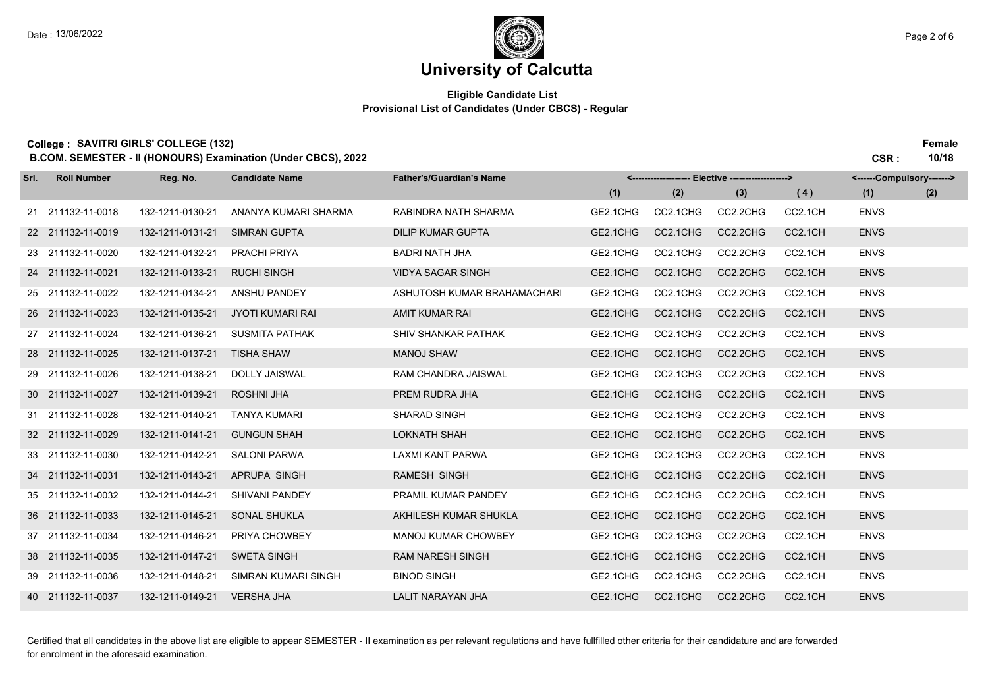### **Eligible Candidate List Provisional List of Candidates (Under CBCS) - Regular**

|      | College: SAVITRI GIRLS' COLLEGE (132) |                  | B.COM. SEMESTER - II (HONOURS) Examination (Under CBCS), 2022 |                                 |          |          |                                     |         | CSR:                      | Female<br>10/18 |
|------|---------------------------------------|------------------|---------------------------------------------------------------|---------------------------------|----------|----------|-------------------------------------|---------|---------------------------|-----------------|
| Srl. | <b>Roll Number</b>                    | Reg. No.         | <b>Candidate Name</b>                                         | <b>Father's/Guardian's Name</b> | <------  |          | ----- Elective -------------------> |         | <------Compulsory-------> |                 |
|      |                                       |                  |                                                               |                                 | (1)      | (2)      | (3)                                 | (4)     | (1)                       | (2)             |
|      | 21 211132-11-0018                     | 132-1211-0130-21 | ANANYA KUMARI SHARMA                                          | RABINDRA NATH SHARMA            | GE2.1CHG | CC2.1CHG | CC2.2CHG                            | CC2.1CH | <b>ENVS</b>               |                 |
|      | 22 211132-11-0019                     | 132-1211-0131-21 | <b>SIMRAN GUPTA</b>                                           | <b>DILIP KUMAR GUPTA</b>        | GE2.1CHG | CC2.1CHG | CC2.2CHG                            | CC2.1CH | <b>ENVS</b>               |                 |
|      | 23 211132-11-0020                     | 132-1211-0132-21 | PRACHI PRIYA                                                  | <b>BADRI NATH JHA</b>           | GE2.1CHG | CC2.1CHG | CC2.2CHG                            | CC2.1CH | <b>ENVS</b>               |                 |
|      | 24 211132-11-0021                     | 132-1211-0133-21 | <b>RUCHI SINGH</b>                                            | <b>VIDYA SAGAR SINGH</b>        | GE2.1CHG | CC2.1CHG | CC2.2CHG                            | CC2.1CH | <b>ENVS</b>               |                 |
|      | 25 211132-11-0022                     | 132-1211-0134-21 | <b>ANSHU PANDEY</b>                                           | ASHUTOSH KUMAR BRAHAMACHARI     | GE2.1CHG | CC2.1CHG | CC2.2CHG                            | CC2.1CH | <b>ENVS</b>               |                 |
|      | 26 211132-11-0023                     | 132-1211-0135-21 | <b>JYOTI KUMARI RAI</b>                                       | <b>AMIT KUMAR RAI</b>           | GE2.1CHG | CC2.1CHG | CC2.2CHG                            | CC2.1CH | <b>ENVS</b>               |                 |
|      | 27 211132-11-0024                     | 132-1211-0136-21 | <b>SUSMITA PATHAK</b>                                         | <b>SHIV SHANKAR PATHAK</b>      | GE2.1CHG | CC2.1CHG | CC2.2CHG                            | CC2.1CH | <b>ENVS</b>               |                 |
|      | 28 211132-11-0025                     | 132-1211-0137-21 | <b>TISHA SHAW</b>                                             | <b>MANOJ SHAW</b>               | GE2.1CHG | CC2.1CHG | CC2.2CHG                            | CC2.1CH | <b>ENVS</b>               |                 |
| 29   | 211132-11-0026                        | 132-1211-0138-21 | <b>DOLLY JAISWAL</b>                                          | <b>RAM CHANDRA JAISWAL</b>      | GE2.1CHG | CC2.1CHG | CC2.2CHG                            | CC2.1CH | <b>ENVS</b>               |                 |
|      | 30 211132-11-0027                     | 132-1211-0139-21 | <b>ROSHNI JHA</b>                                             | PREM RUDRA JHA                  | GE2.1CHG | CC2.1CHG | CC2.2CHG                            | CC2.1CH | <b>ENVS</b>               |                 |
|      | 31 211132-11-0028                     | 132-1211-0140-21 | <b>TANYA KUMARI</b>                                           | <b>SHARAD SINGH</b>             | GE2.1CHG | CC2.1CHG | CC2.2CHG                            | CC2.1CH | <b>ENVS</b>               |                 |
|      | 32 211132-11-0029                     | 132-1211-0141-21 | <b>GUNGUN SHAH</b>                                            | <b>LOKNATH SHAH</b>             | GE2.1CHG | CC2.1CHG | CC2.2CHG                            | CC2.1CH | <b>ENVS</b>               |                 |
|      | 33 211132-11-0030                     | 132-1211-0142-21 | <b>SALONI PARWA</b>                                           | LAXMI KANT PARWA                | GE2.1CHG | CC2.1CHG | CC2.2CHG                            | CC2.1CH | <b>ENVS</b>               |                 |
|      | 34 211132-11-0031                     | 132-1211-0143-21 | APRUPA SINGH                                                  | <b>RAMESH SINGH</b>             | GE2.1CHG | CC2.1CHG | CC2.2CHG                            | CC2.1CH | <b>ENVS</b>               |                 |
|      | 35 211132-11-0032                     | 132-1211-0144-21 | <b>SHIVANI PANDEY</b>                                         | PRAMIL KUMAR PANDEY             | GE2.1CHG | CC2.1CHG | CC2.2CHG                            | CC2.1CH | <b>ENVS</b>               |                 |
|      | 36 211132-11-0033                     | 132-1211-0145-21 | <b>SONAL SHUKLA</b>                                           | AKHILESH KUMAR SHUKLA           | GE2.1CHG | CC2.1CHG | CC2.2CHG                            | CC2.1CH | <b>ENVS</b>               |                 |
|      | 37 211132-11-0034                     | 132-1211-0146-21 | PRIYA CHOWBEY                                                 | MANOJ KUMAR CHOWBEY             | GE2.1CHG | CC2.1CHG | CC2.2CHG                            | CC2.1CH | <b>ENVS</b>               |                 |
|      | 38 211132-11-0035                     | 132-1211-0147-21 | <b>SWETA SINGH</b>                                            | <b>RAM NARESH SINGH</b>         | GE2.1CHG | CC2.1CHG | CC2.2CHG                            | CC2.1CH | <b>ENVS</b>               |                 |
| 39   | 211132-11-0036                        | 132-1211-0148-21 | SIMRAN KUMARI SINGH                                           | <b>BINOD SINGH</b>              | GE2.1CHG | CC2.1CHG | CC2.2CHG                            | CC2.1CH | <b>ENVS</b>               |                 |
|      | 40 211132-11-0037                     | 132-1211-0149-21 | <b>VERSHA JHA</b>                                             | <b>LALIT NARAYAN JHA</b>        | GE2.1CHG | CC2.1CHG | CC2.2CHG                            | CC2.1CH | <b>ENVS</b>               |                 |

Certified that all candidates in the above list are eligible to appear SEMESTER - II examination as per relevant regulations and have fullfilled other criteria for their candidature and are forwarded for enrolment in the aforesaid examination.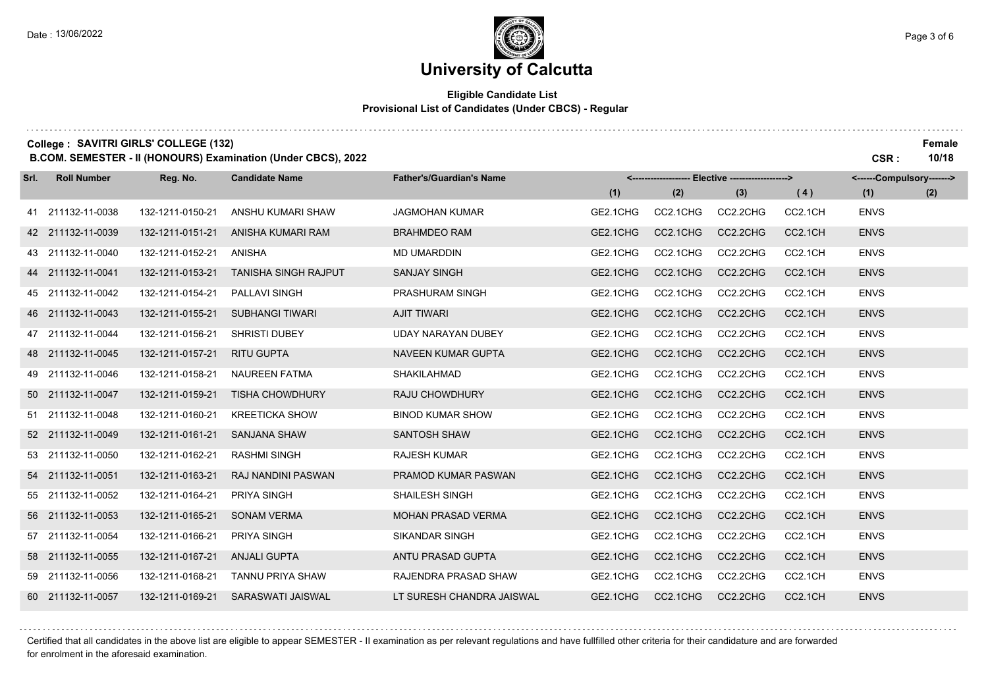## **University of Calcutta**

### **Eligible Candidate List Provisional List of Candidates (Under CBCS) - Regular**

|      | College: SAVITRI GIRLS' COLLEGE (132) |                  | B.COM. SEMESTER - II (HONOURS) Examination (Under CBCS), 2022 |                                 |          |          |                               |         | CSR:                      | Female<br>10/18 |
|------|---------------------------------------|------------------|---------------------------------------------------------------|---------------------------------|----------|----------|-------------------------------|---------|---------------------------|-----------------|
| Srl. | <b>Roll Number</b>                    | Reg. No.         | <b>Candidate Name</b>                                         | <b>Father's/Guardian's Name</b> |          |          | Elective -------------------> |         | <------Compulsory-------> |                 |
|      |                                       |                  |                                                               |                                 | (1)      | (2)      | (3)                           | (4)     | (1)                       | (2)             |
|      | 41 211132-11-0038                     | 132-1211-0150-21 | ANSHU KUMARI SHAW                                             | <b>JAGMOHAN KUMAR</b>           | GE2.1CHG | CC2.1CHG | CC2.2CHG                      | CC2.1CH | <b>ENVS</b>               |                 |
|      | 42 211132-11-0039                     | 132-1211-0151-21 | ANISHA KUMARI RAM                                             | <b>BRAHMDEO RAM</b>             | GE2.1CHG | CC2.1CHG | CC2.2CHG                      | CC2.1CH | <b>ENVS</b>               |                 |
|      | 43 211132-11-0040                     | 132-1211-0152-21 | ANISHA                                                        | <b>MD UMARDDIN</b>              | GE2.1CHG | CC2.1CHG | CC2.2CHG                      | CC2.1CH | <b>ENVS</b>               |                 |
|      | 44 211132-11-0041                     | 132-1211-0153-21 | <b>TANISHA SINGH RAJPUT</b>                                   | <b>SANJAY SINGH</b>             | GE2.1CHG | CC2.1CHG | CC2.2CHG                      | CC2.1CH | <b>ENVS</b>               |                 |
|      | 45 211132-11-0042                     | 132-1211-0154-21 | PALLAVI SINGH                                                 | PRASHURAM SINGH                 | GE2.1CHG | CC2.1CHG | CC2.2CHG                      | CC2.1CH | <b>ENVS</b>               |                 |
| 46   | 211132-11-0043                        | 132-1211-0155-21 | <b>SUBHANGI TIWARI</b>                                        | <b>AJIT TIWARI</b>              | GE2.1CHG | CC2.1CHG | CC2.2CHG                      | CC2.1CH | <b>ENVS</b>               |                 |
|      | 47 211132-11-0044                     | 132-1211-0156-21 | <b>SHRISTI DUBEY</b>                                          | UDAY NARAYAN DUBEY              | GE2.1CHG | CC2.1CHG | CC2.2CHG                      | CC2.1CH | <b>ENVS</b>               |                 |
|      | 48 211132-11-0045                     | 132-1211-0157-21 | <b>RITU GUPTA</b>                                             | <b>NAVEEN KUMAR GUPTA</b>       | GE2.1CHG | CC2.1CHG | CC2.2CHG                      | CC2.1CH | <b>ENVS</b>               |                 |
| 49.  | 211132-11-0046                        | 132-1211-0158-21 | <b>NAUREEN FATMA</b>                                          | SHAKILAHMAD                     | GE2.1CHG | CC2.1CHG | CC2.2CHG                      | CC2.1CH | <b>ENVS</b>               |                 |
|      | 50 211132-11-0047                     | 132-1211-0159-21 | <b>TISHA CHOWDHURY</b>                                        | <b>RAJU CHOWDHURY</b>           | GE2.1CHG | CC2.1CHG | CC2.2CHG                      | CC2.1CH | <b>ENVS</b>               |                 |
|      | 51 211132-11-0048                     | 132-1211-0160-21 | <b>KREETICKA SHOW</b>                                         | <b>BINOD KUMAR SHOW</b>         | GE2.1CHG | CC2.1CHG | CC2.2CHG                      | CC2.1CH | <b>ENVS</b>               |                 |
|      | 52 211132-11-0049                     | 132-1211-0161-21 | <b>SANJANA SHAW</b>                                           | <b>SANTOSH SHAW</b>             | GE2.1CHG | CC2.1CHG | CC2.2CHG                      | CC2.1CH | <b>ENVS</b>               |                 |
|      | 53 211132-11-0050                     | 132-1211-0162-21 | <b>RASHMI SINGH</b>                                           | <b>RAJESH KUMAR</b>             | GE2.1CHG | CC2.1CHG | CC2.2CHG                      | CC2.1CH | <b>ENVS</b>               |                 |
|      | 54 211132-11-0051                     | 132-1211-0163-21 | <b>RAJ NANDINI PASWAN</b>                                     | <b>PRAMOD KUMAR PASWAN</b>      | GE2.1CHG | CC2.1CHG | CC2.2CHG                      | CC2.1CH | <b>ENVS</b>               |                 |
|      | 55 211132-11-0052                     | 132-1211-0164-21 | PRIYA SINGH                                                   | <b>SHAILESH SINGH</b>           | GE2.1CHG | CC2.1CHG | CC2.2CHG                      | CC2.1CH | <b>ENVS</b>               |                 |
|      | 56 211132-11-0053                     | 132-1211-0165-21 | <b>SONAM VERMA</b>                                            | <b>MOHAN PRASAD VERMA</b>       | GE2.1CHG | CC2.1CHG | CC2.2CHG                      | CC2.1CH | <b>ENVS</b>               |                 |
|      | 57 211132-11-0054                     | 132-1211-0166-21 | <b>PRIYA SINGH</b>                                            | <b>SIKANDAR SINGH</b>           | GE2.1CHG | CC2.1CHG | CC2.2CHG                      | CC2.1CH | <b>ENVS</b>               |                 |
|      | 58 211132-11-0055                     | 132-1211-0167-21 | <b>ANJALI GUPTA</b>                                           | ANTU PRASAD GUPTA               | GE2.1CHG | CC2.1CHG | CC2.2CHG                      | CC2.1CH | <b>ENVS</b>               |                 |
|      | 59 211132-11-0056                     | 132-1211-0168-21 | TANNU PRIYA SHAW                                              | RAJENDRA PRASAD SHAW            | GE2.1CHG | CC2.1CHG | CC2.2CHG                      | CC2.1CH | <b>ENVS</b>               |                 |
|      | 60 211132-11-0057                     | 132-1211-0169-21 | <b>SARASWATI JAISWAL</b>                                      | LT SURESH CHANDRA JAISWAL       | GE2.1CHG | CC2.1CHG | CC2.2CHG                      | CC2.1CH | <b>ENVS</b>               |                 |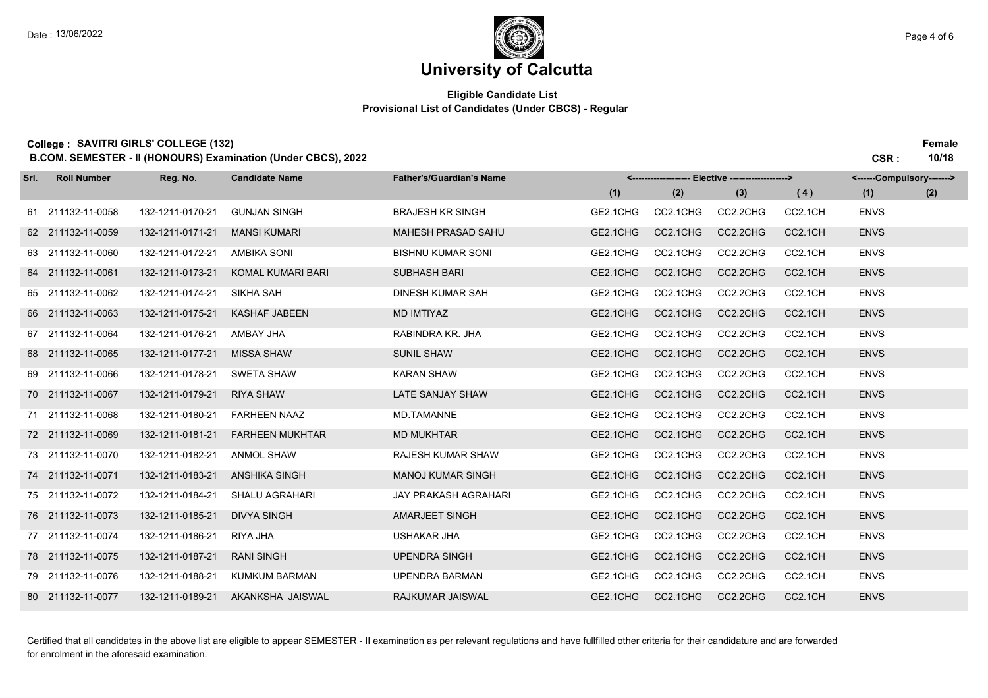## **University of Calcutta**

### **Eligible Candidate List Provisional List of Candidates (Under CBCS) - Regular**

|      | College: SAVITRI GIRLS' COLLEGE (132) |                  | B.COM. SEMESTER - II (HONOURS) Examination (Under CBCS), 2022 |                                 |          |          |                                                   |         | CSR:                      | Female<br>10/18 |
|------|---------------------------------------|------------------|---------------------------------------------------------------|---------------------------------|----------|----------|---------------------------------------------------|---------|---------------------------|-----------------|
| Srl. | <b>Roll Number</b>                    | Reg. No.         | <b>Candidate Name</b>                                         | <b>Father's/Guardian's Name</b> |          |          | <------------------- Elective ------------------> |         | <------Compulsory-------> |                 |
|      |                                       |                  |                                                               |                                 | (1)      | (2)      | (3)                                               | (4)     | (1)                       | (2)             |
|      | 61 211132-11-0058                     | 132-1211-0170-21 | <b>GUNJAN SINGH</b>                                           | <b>BRAJESH KR SINGH</b>         | GE2.1CHG | CC2.1CHG | CC2.2CHG                                          | CC2.1CH | <b>ENVS</b>               |                 |
|      | 62 211132-11-0059                     | 132-1211-0171-21 | <b>MANSI KUMARI</b>                                           | <b>MAHESH PRASAD SAHU</b>       | GE2.1CHG | CC2.1CHG | CC2.2CHG                                          | CC2.1CH | <b>ENVS</b>               |                 |
|      | 63 211132-11-0060                     | 132-1211-0172-21 | <b>AMBIKA SONI</b>                                            | <b>BISHNU KUMAR SONI</b>        | GE2.1CHG | CC2.1CHG | CC2.2CHG                                          | CC2.1CH | <b>ENVS</b>               |                 |
|      | 64 211132-11-0061                     | 132-1211-0173-21 | KOMAL KUMARI BARI                                             | <b>SUBHASH BARI</b>             | GE2.1CHG | CC2.1CHG | CC2.2CHG                                          | CC2.1CH | <b>ENVS</b>               |                 |
|      | 65 211132-11-0062                     | 132-1211-0174-21 | SIKHA SAH                                                     | <b>DINESH KUMAR SAH</b>         | GE2.1CHG | CC2.1CHG | CC2.2CHG                                          | CC2.1CH | <b>ENVS</b>               |                 |
| 66   | 211132-11-0063                        | 132-1211-0175-21 | <b>KASHAF JABEEN</b>                                          | <b>MD IMTIYAZ</b>               | GE2.1CHG | CC2.1CHG | CC2.2CHG                                          | CC2.1CH | <b>ENVS</b>               |                 |
|      | 67 211132-11-0064                     | 132-1211-0176-21 | AMBAY JHA                                                     | RABINDRA KR. JHA                | GE2.1CHG | CC2.1CHG | CC2.2CHG                                          | CC2.1CH | <b>ENVS</b>               |                 |
|      | 68 211132-11-0065                     | 132-1211-0177-21 | <b>MISSA SHAW</b>                                             | <b>SUNIL SHAW</b>               | GE2.1CHG | CC2.1CHG | CC2.2CHG                                          | CC2.1CH | <b>ENVS</b>               |                 |
|      | 69 211132-11-0066                     | 132-1211-0178-21 | <b>SWETA SHAW</b>                                             | <b>KARAN SHAW</b>               | GE2.1CHG | CC2.1CHG | CC2.2CHG                                          | CC2.1CH | <b>ENVS</b>               |                 |
|      | 70 211132-11-0067                     | 132-1211-0179-21 | <b>RIYA SHAW</b>                                              | LATE SANJAY SHAW                | GE2.1CHG | CC2.1CHG | CC2.2CHG                                          | CC2.1CH | <b>ENVS</b>               |                 |
|      | 71 211132-11-0068                     | 132-1211-0180-21 | <b>FARHEEN NAAZ</b>                                           | <b>MD.TAMANNE</b>               | GE2.1CHG | CC2.1CHG | CC2.2CHG                                          | CC2.1CH | <b>ENVS</b>               |                 |
|      | 72 211132-11-0069                     | 132-1211-0181-21 | <b>FARHEEN MUKHTAR</b>                                        | <b>MD MUKHTAR</b>               | GE2.1CHG | CC2.1CHG | CC2.2CHG                                          | CC2.1CH | <b>ENVS</b>               |                 |
|      | 73 211132-11-0070                     | 132-1211-0182-21 | <b>ANMOL SHAW</b>                                             | <b>RAJESH KUMAR SHAW</b>        | GE2.1CHG | CC2.1CHG | CC2.2CHG                                          | CC2.1CH | <b>ENVS</b>               |                 |
|      | 74 211132-11-0071                     | 132-1211-0183-21 | <b>ANSHIKA SINGH</b>                                          | <b>MANOJ KUMAR SINGH</b>        | GE2.1CHG | CC2.1CHG | CC2.2CHG                                          | CC2.1CH | <b>ENVS</b>               |                 |
|      | 75 211132-11-0072                     | 132-1211-0184-21 | <b>SHALU AGRAHARI</b>                                         | JAY PRAKASH AGRAHARI            | GE2.1CHG | CC2.1CHG | CC2.2CHG                                          | CC2.1CH | <b>ENVS</b>               |                 |
|      | 76 211132-11-0073                     | 132-1211-0185-21 | <b>DIVYA SINGH</b>                                            | <b>AMARJEET SINGH</b>           | GE2.1CHG | CC2.1CHG | CC2.2CHG                                          | CC2.1CH | <b>ENVS</b>               |                 |
|      | 77 211132-11-0074                     | 132-1211-0186-21 | RIYA JHA                                                      | <b>USHAKAR JHA</b>              | GE2.1CHG | CC2.1CHG | CC2.2CHG                                          | CC2.1CH | <b>ENVS</b>               |                 |
|      | 78 211132-11-0075                     | 132-1211-0187-21 | <b>RANI SINGH</b>                                             | <b>UPENDRA SINGH</b>            | GE2.1CHG | CC2.1CHG | CC2.2CHG                                          | CC2.1CH | <b>ENVS</b>               |                 |
|      | 79 211132-11-0076                     | 132-1211-0188-21 | <b>KUMKUM BARMAN</b>                                          | <b>UPENDRA BARMAN</b>           | GE2.1CHG | CC2.1CHG | CC2.2CHG                                          | CC2.1CH | <b>ENVS</b>               |                 |
|      | 80 211132-11-0077                     | 132-1211-0189-21 | AKANKSHA JAISWAL                                              | <b>RAJKUMAR JAISWAL</b>         | GE2.1CHG | CC2.1CHG | CC2.2CHG                                          | CC2.1CH | <b>ENVS</b>               |                 |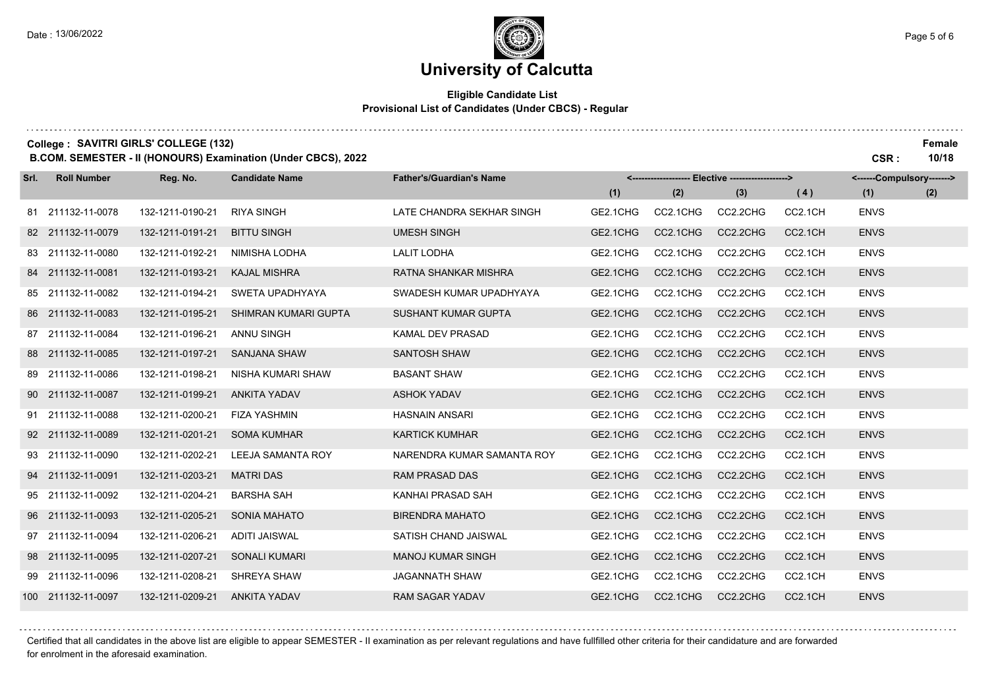### **Eligible Candidate List Provisional List of Candidates (Under CBCS) - Regular**

| College: SAVITRI GIRLS' COLLEGE (132)<br>B.COM. SEMESTER - II (HONOURS) Examination (Under CBCS), 2022 |                    |                  |                          |                                 |          |                               |          | CSR:    | Female<br>10/18           |     |
|--------------------------------------------------------------------------------------------------------|--------------------|------------------|--------------------------|---------------------------------|----------|-------------------------------|----------|---------|---------------------------|-----|
| Srl.                                                                                                   | <b>Roll Number</b> | Reg. No.         | <b>Candidate Name</b>    | <b>Father's/Guardian's Name</b> | <----    | Elective -------------------> |          |         | <------Compulsory-------> |     |
|                                                                                                        |                    |                  |                          |                                 | (1)      | (2)                           | (3)      | (4)     | (1)                       | (2) |
|                                                                                                        | 81 211132-11-0078  | 132-1211-0190-21 | <b>RIYA SINGH</b>        | LATE CHANDRA SEKHAR SINGH       | GE2.1CHG | CC2.1CHG                      | CC2.2CHG | CC2.1CH | <b>ENVS</b>               |     |
|                                                                                                        | 82 211132-11-0079  | 132-1211-0191-21 | <b>BITTU SINGH</b>       | <b>UMESH SINGH</b>              | GE2.1CHG | CC2.1CHG                      | CC2.2CHG | CC2.1CH | <b>ENVS</b>               |     |
|                                                                                                        | 83 211132-11-0080  | 132-1211-0192-21 | NIMISHA LODHA            | <b>LALIT LODHA</b>              | GE2.1CHG | CC2.1CHG                      | CC2.2CHG | CC2.1CH | <b>ENVS</b>               |     |
|                                                                                                        | 84 211132-11-0081  | 132-1211-0193-21 | <b>KAJAL MISHRA</b>      | RATNA SHANKAR MISHRA            | GE2.1CHG | CC2.1CHG                      | CC2.2CHG | CC2.1CH | <b>ENVS</b>               |     |
|                                                                                                        | 85 211132-11-0082  | 132-1211-0194-21 | SWETA UPADHYAYA          | SWADESH KUMAR UPADHYAYA         | GE2.1CHG | CC2.1CHG                      | CC2.2CHG | CC2.1CH | <b>ENVS</b>               |     |
|                                                                                                        | 86 211132-11-0083  | 132-1211-0195-21 | SHIMRAN KUMARI GUPTA     | SUSHANT KUMAR GUPTA             | GE2.1CHG | CC2.1CHG                      | CC2.2CHG | CC2.1CH | <b>ENVS</b>               |     |
|                                                                                                        | 87 211132-11-0084  | 132-1211-0196-21 | <b>ANNU SINGH</b>        | KAMAL DEV PRASAD                | GE2.1CHG | CC2.1CHG                      | CC2.2CHG | CC2.1CH | <b>ENVS</b>               |     |
|                                                                                                        | 88 211132-11-0085  | 132-1211-0197-21 | <b>SANJANA SHAW</b>      | <b>SANTOSH SHAW</b>             | GE2.1CHG | CC2.1CHG                      | CC2.2CHG | CC2.1CH | <b>ENVS</b>               |     |
|                                                                                                        | 89 211132-11-0086  | 132-1211-0198-21 | NISHA KUMARI SHAW        | <b>BASANT SHAW</b>              | GE2.1CHG | CC2.1CHG                      | CC2.2CHG | CC2.1CH | <b>ENVS</b>               |     |
|                                                                                                        | 90 211132-11-0087  | 132-1211-0199-21 | <b>ANKITA YADAV</b>      | <b>ASHOK YADAV</b>              | GE2.1CHG | CC2.1CHG                      | CC2.2CHG | CC2.1CH | <b>ENVS</b>               |     |
|                                                                                                        | 91 211132-11-0088  | 132-1211-0200-21 | <b>FIZA YASHMIN</b>      | <b>HASNAIN ANSARI</b>           | GE2.1CHG | CC2.1CHG                      | CC2.2CHG | CC2.1CH | <b>ENVS</b>               |     |
|                                                                                                        | 92 211132-11-0089  | 132-1211-0201-21 | <b>SOMA KUMHAR</b>       | <b>KARTICK KUMHAR</b>           | GE2.1CHG | CC2.1CHG                      | CC2.2CHG | CC2.1CH | <b>ENVS</b>               |     |
|                                                                                                        | 93 211132-11-0090  | 132-1211-0202-21 | <b>LEEJA SAMANTA ROY</b> | NARENDRA KUMAR SAMANTA ROY      | GE2.1CHG | CC2.1CHG                      | CC2.2CHG | CC2.1CH | <b>ENVS</b>               |     |
|                                                                                                        | 94 211132-11-0091  | 132-1211-0203-21 | <b>MATRI DAS</b>         | <b>RAM PRASAD DAS</b>           | GE2.1CHG | CC2.1CHG                      | CC2.2CHG | CC2.1CH | <b>ENVS</b>               |     |
|                                                                                                        | 95 211132-11-0092  | 132-1211-0204-21 | <b>BARSHA SAH</b>        | KANHAI PRASAD SAH               | GE2.1CHG | CC2.1CHG                      | CC2.2CHG | CC2.1CH | <b>ENVS</b>               |     |
|                                                                                                        | 96 211132-11-0093  | 132-1211-0205-21 | SONIA MAHATO             | <b>BIRENDRA MAHATO</b>          | GE2.1CHG | CC2.1CHG                      | CC2.2CHG | CC2.1CH | <b>ENVS</b>               |     |
|                                                                                                        | 97 211132-11-0094  | 132-1211-0206-21 | <b>ADITI JAISWAL</b>     | SATISH CHAND JAISWAL            | GE2.1CHG | CC2.1CHG                      | CC2.2CHG | CC2.1CH | <b>ENVS</b>               |     |
|                                                                                                        | 98 211132-11-0095  | 132-1211-0207-21 | <b>SONALI KUMARI</b>     | <b>MANOJ KUMAR SINGH</b>        | GE2.1CHG | CC2.1CHG                      | CC2.2CHG | CC2.1CH | <b>ENVS</b>               |     |
|                                                                                                        | 99 211132-11-0096  | 132-1211-0208-21 | SHREYA SHAW              | <b>JAGANNATH SHAW</b>           | GE2.1CHG | CC2.1CHG                      | CC2.2CHG | CC2.1CH | <b>ENVS</b>               |     |
|                                                                                                        | 100 211132-11-0097 | 132-1211-0209-21 | <b>ANKITA YADAV</b>      | <b>RAM SAGAR YADAV</b>          | GE2.1CHG | CC2.1CHG                      | CC2.2CHG | CC2.1CH | <b>ENVS</b>               |     |

Certified that all candidates in the above list are eligible to appear SEMESTER - II examination as per relevant regulations and have fullfilled other criteria for their candidature and are forwarded for enrolment in the aforesaid examination.